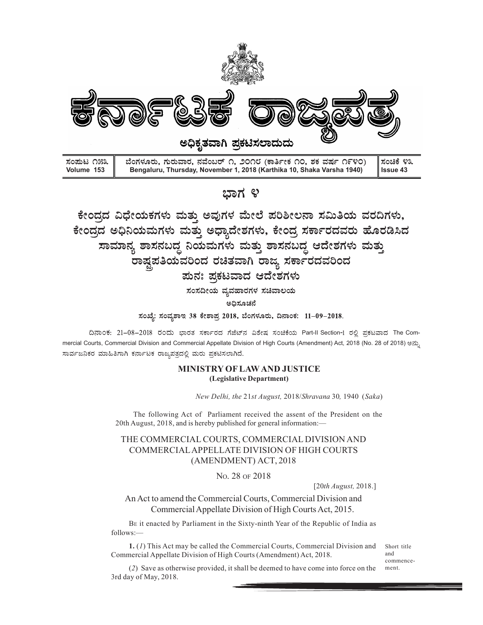

# ಬಾಗ ೪

ಕೇಂದ್ರದ ವಿಧೇಯಕಗಳು ಮತ್ತು ಅವುಗಳ ಮೇಲೆ ಪರಿಶೀಲನಾ ಸಮಿತಿಯ ವರದಿಗಳು, ಕೇಂದ್ರದ ಅಧಿನಿಯಮಗಳು ಮತ್ತು ಅಧ್ಯಾದೇಶಗಳು, ಕೇಂದ್ರ ಸರ್ಕಾರದವರು ಹೊರಡಿಸಿದ ಸಾಮಾನ್ಯ ಶಾಸನಬದ್ಧ ನಿಯಮಗಳು ಮತ್ತು ಶಾಸನಬದ್ಧ ಆದೇಶಗಳು ಮತ್ತು ,<br>ರಾಷ್ಟ್ರಪತಿಯವರಿಂದ ರಚಿತವಾಗಿ ರಾಜ್ಯ ಸರ್ಕಾರದವರಿಂದ ಪುನಃ ಪ್ರಕಟವಾದ ಆದೇಶಗಳು ಸಂಸದೀಯ ವ್ಯವಹಾರಗಳ ಸಚಿವಾಲಯ

ಅಧಿಸೂಚನೆ

ಸಂಖ್ಯೆ: ಸಂವ್ನಶಾಇ 38 ಕೇಶಾಪ್ರ 2018, ಬೆಂಗಳೂರು, ದಿನಾಂಕ: 11–09–2018.

ದಿನಾಂಕ: 21-08-2018 ರಂದು ಭಾರತ ಸರ್ಕಾರದ ಗೆಜೆಟ್ನ ವಿಶೇಷ ಸಂಚಿಕೆಯ Part-II Section-I ರಲ್ಲಿ ಪ್ರಕಟವಾದ The Commercial Courts, Commercial Division and Commercial Appellate Division of High Courts (Amendment) Act, 2018 (No. 28 of 2018) ಅನ್ಸು ಸಾರ್ವಜನಿಕರ ಮಾಹಿತಿಗಾಗಿ ಕರ್ನಾಟಕ ರಾಜ್ಯಪತ್ರದಲ್ಲಿ ಮರು ಪ್ರಕಟಿಸಲಾಗಿದೆ.

### MINISTRY OF LAW AND JUSTICE (Legislative Department)

New Delhi, the 21st August, 2018/Shravana 30, 1940 (Saka)

The following Act of Parliament received the assent of the President on the 20th August, 2018, and is hereby published for general information:—

## THE COMMERCIAL COURTS, COMMERCIAL DIVISION AND COMMERCIAL APPELLATE DIVISION OF HIGH COURTS (AMENDMENT) ACT, 2018

NO. 28 OF 2018

[20th August, 2018.]

## An Act to amend the Commercial Courts, Commercial Division and Commercial Appellate Division of High Courts Act, 2015.

BE it enacted by Parliament in the Sixty-ninth Year of the Republic of India as follows:—

1. (1) This Act may be called the Commercial Courts, Commercial Division and Commercial Appellate Division of High Courts (Amendment) Act, 2018.

Short title and commence ment.

(2) Save as otherwise provided, it shall be deemed to have come into force on the 3rd day of May, 2018.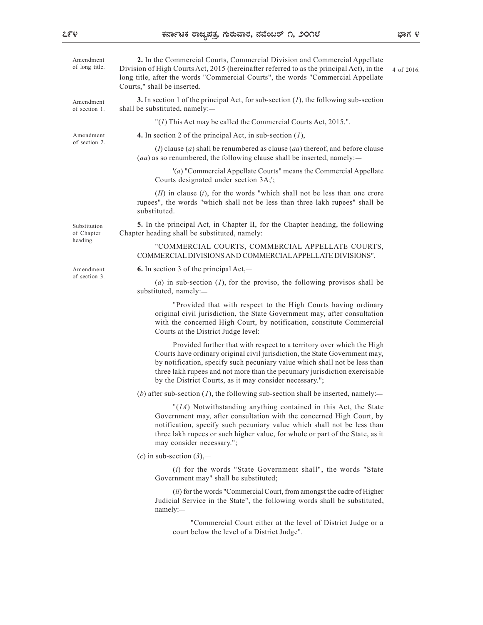Amendment 2. In the Commercial Courts, Commercial Division and Commercial Appellate of long title. Division of High Courts Act, 2015 (hereinafter referred to as the principal Act), in the 4 of 2016. long title, after the words "Commercial Courts", the words "Commercial Appellate Courts," shall be inserted.  $3.$  In section 1 of the principal Act, for sub-section (1), the following sub-section of section 1. Shall be substituted, namely:— "(1) This Act may be called the Commercial Courts Act, 2015.". Amendment **4.** In section 2 of the principal Act, in sub-section  $(I)$ ,— (I) clause (a) shall be renumbered as clause (aa) thereof, and before clause  $(aa)$  as so renumbered, the following clause shall be inserted, namely: nter the worris Commercial Courts', the words Commercial Appeliate<br>
and lall be inserted.<br>
ection 1 of the principal Act, for sub-section (*1*), the following sub-section<br>
stituted, namely:—<br>  $\binom{n}{l}$  This Act my be calle

'(a) "Commercial Appellate Courts" means the Commercial Appellate Courts designated under section 3A;';

 $(II)$  in clause  $(i)$ , for the words "which shall not be less than one crore rupees", the words "which shall not be less than three lakh rupees" shall be substituted.

Substitution 5. In the principal Act, in Chapter II, for the Chapter heading, the following Chapter heading shall be substituted, namely:— of Chapter

> "COMMERCIAL COURTS, COMMERCIAL APPELLATE COURTS, COMMERCIAL DIVISIONS AND COMMERCIAL APPELLATE DIVISIONS".

Amendment 6. In section 3 of the principal Act,—

substituted, namely:—

"Provided that with respect to the High Courts having ordinary original civil jurisdiction, the State Government may, after consultation with the concerned High Court, by notification, constitute Commercial Courts at the District Judge level:

Provided further that with respect to a territory over which the High Courts have ordinary original civil jurisdiction, the State Government may, by notification, specify such pecuniary value which shall not be less than three lakh rupees and not more than the pecuniary jurisdiction exercisable by the District Courts, as it may consider necessary.";

(b) after sub-section (1), the following sub-section shall be inserted, namely:—

 $''(1A)$  Notwithstanding anything contained in this Act, the State Government may, after consultation with the concerned High Court, by notification, specify such pecuniary value which shall not be less than three lakh rupees or such higher value, for whole or part of the State, as it may consider necessary.";

(c) in sub-section  $(3)$ ,—

 $(i)$  for the words "State Government shall", the words "State Government may" shall be substituted;

(ii) for the words "Commercial Court, from amongst the cadre of Higher Judicial Service in the State", the following words shall be substituted, namely:—

"Commercial Court either at the level of District Judge or a court below the level of a District Judge".

of section 3.

heading.

of section 2.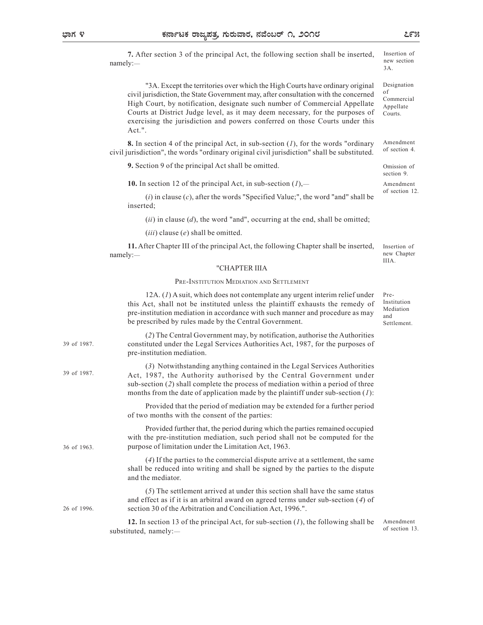7. After section 3 of the principal Act, the following section shall be inserted, namely:— Insertion of new section 3A.

### "CHAPTER IIIA

|             | "3A. Except the territories over which the High Courts have ordinary original<br>civil jurisdiction, the State Government may, after consultation with the concerned<br>High Court, by notification, designate such number of Commercial Appellate<br>Courts at District Judge level, as it may deem necessary, for the purposes of<br>exercising the jurisdiction and powers conferred on those Courts under this<br>Act.". | Designation<br>оf<br>Commercial<br>Appellate<br>Courts. |
|-------------|------------------------------------------------------------------------------------------------------------------------------------------------------------------------------------------------------------------------------------------------------------------------------------------------------------------------------------------------------------------------------------------------------------------------------|---------------------------------------------------------|
|             | <b>8.</b> In section 4 of the principal Act, in sub-section $(1)$ , for the words "ordinary"<br>civil jurisdiction", the words "ordinary original civil jurisdiction" shall be substituted.                                                                                                                                                                                                                                  | Amendment<br>of section 4.                              |
|             | 9. Section 9 of the principal Act shall be omitted.                                                                                                                                                                                                                                                                                                                                                                          | Omission of<br>section 9.                               |
|             | 10. In section 12 of the principal Act, in sub-section $(I)$ ,—                                                                                                                                                                                                                                                                                                                                                              | Amendment                                               |
|             | $(i)$ in clause $(c)$ , after the words "Specified Value;", the word "and" shall be<br>inserted;                                                                                                                                                                                                                                                                                                                             | of section 12.                                          |
|             | $(ii)$ in clause $(d)$ , the word "and", occurring at the end, shall be omitted;                                                                                                                                                                                                                                                                                                                                             |                                                         |
|             | $(iii)$ clause $(e)$ shall be omitted.                                                                                                                                                                                                                                                                                                                                                                                       |                                                         |
|             | 11. After Chapter III of the principal Act, the following Chapter shall be inserted,<br>namely:                                                                                                                                                                                                                                                                                                                              | Insertion of<br>new Chapter<br>IIIA.                    |
|             | "CHAPTER IIIA                                                                                                                                                                                                                                                                                                                                                                                                                |                                                         |
|             | PRE-INSTITUTION MEDIATION AND SETTLEMENT                                                                                                                                                                                                                                                                                                                                                                                     |                                                         |
|             | 12A. $(I)$ A suit, which does not contemplate any urgent interim relief under<br>this Act, shall not be instituted unless the plaintiff exhausts the remedy of<br>pre-institution mediation in accordance with such manner and procedure as may<br>be prescribed by rules made by the Central Government.                                                                                                                    | Pre-<br>Institution<br>Mediation<br>and<br>Settlement.  |
| 39 of 1987. | (2) The Central Government may, by notification, authorise the Authorities<br>constituted under the Legal Services Authorities Act, 1987, for the purposes of<br>pre-institution mediation.                                                                                                                                                                                                                                  |                                                         |
| 39 of 1987. | (3) Notwithstanding anything contained in the Legal Services Authorities<br>Act, 1987, the Authority authorised by the Central Government under<br>sub-section $(2)$ shall complete the process of mediation within a period of three<br>months from the date of application made by the plaintiff under sub-section $(I)$ :                                                                                                 |                                                         |
|             | Provided that the period of mediation may be extended for a further period<br>of two months with the consent of the parties:                                                                                                                                                                                                                                                                                                 |                                                         |
| 36 of 1963. | Provided further that, the period during which the parties remained occupied<br>with the pre-institution mediation, such period shall not be computed for the<br>purpose of limitation under the Limitation Act, 1963.                                                                                                                                                                                                       |                                                         |
|             | (4) If the parties to the commercial dispute arrive at a settlement, the same<br>shall be reduced into writing and shall be signed by the parties to the dispute<br>and the mediator.                                                                                                                                                                                                                                        |                                                         |
| 26 of 1996. | $(5)$ The settlement arrived at under this section shall have the same status<br>and effect as if it is an arbitral award on agreed terms under sub-section $(4)$ of<br>section 30 of the Arbitration and Conciliation Act, 1996.".                                                                                                                                                                                          |                                                         |
|             | 12. In section 13 of the principal Act, for sub-section $(1)$ , the following shall be<br>substituted, namely:-                                                                                                                                                                                                                                                                                                              | Amendment<br>of section 13.                             |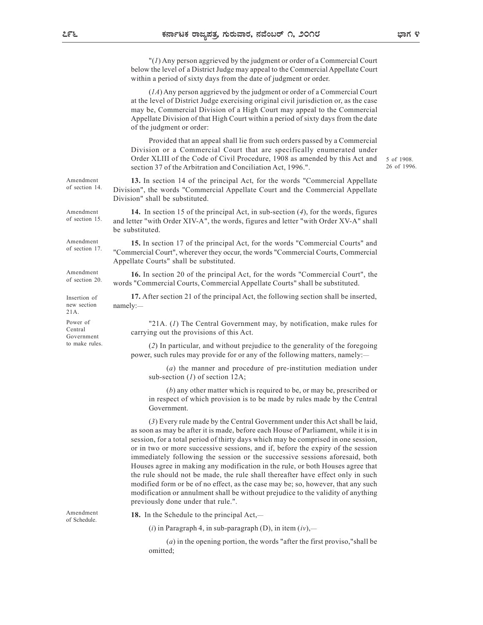"(1) Any person aggrieved by the judgment or order of a Commercial Court below the level of a District Judge may appeal to the Commercial Appellate Court within a period of sixty days from the date of judgment or order. (1A) Any person aggrieved by the judgment or order of a Commercial Court at the level of District Judge exercising original civil jurisdiction or, as the case may be, Commercial Division of a High Court may appeal to the Commercial Appellate Division of that High Court within a period of sixty days from the date of the judgment or order: Provided that an appeal shall lie from such orders passed by a Commercial Division or a Commercial Court that are specifically enumerated under Order XLIII of the Code of Civil Procedure, 1908 as amended by this Act and section 37 of the Arbitration and Conciliation Act, 1996.". Amendment **13.** In section 14 of the principal Act, for the words "Commercial Appellate of section 14. Division", the words "Commercial Appellate Court and the Commercial Appellate Division" shall be substituted. Amendment **14.** In section 15 of the principal Act, in sub-section  $(4)$ , for the words, figures and letter "with Order XIV-A", the words, figures and letter "with Order XV-A" shall of section 15. be substituted. Amendment 15. In section 17 of the principal Act, for the words "Commercial Courts" and of section 17. "Commercial Court", wherever they occur, the words "Commercial Courts, Commercial Appellate Courts" shall be substituted. 16. In section 20 of the principal Act, for the words "Commercial Court", the words "Commercial Courts, Commercial Appellate Courts" shall be substituted. 17. After section 21 of the principal Act, the following section shall be inserted, Insertion of namely:— Power of Table 121A. (1) The Central Government may, by notification, make rules for Central carrying out the provisions of this Act. (2) In particular, and without prejudice to the generality of the foregoing power, such rules may provide for or any of the following matters, namely:— (a) the manner and procedure of pre-institution mediation under sub-section  $(I)$  of section 12A; (b) any other matter which is required to be, or may be, prescribed or in respect of which provision is to be made by rules made by the Central Government. (3) Every rule made by the Central Government under this Act shall be laid, as soon as may be after it is made, before each House of Parliament, while it is in session, for a total period of thirty days which may be comprised in one session, or in two or more successive sessions, and if, before the expiry of the session immediately following the session or the successive sessions aforesaid, both Houses agree in making any modification in the rule, or both Houses agree that the rule should not be made, the rule shall thereafter have effect only in such modified form or be of no effect, as the case may be; so, however, that any such modification or annulment shall be without prejudice to the validity of anything previously done under that rule.". Amendment 18. In the Schedule to the principal Act,— Amendment of section 20. new section namely:-21A. Government to make rules. of Schedule. 5 of 1908. 26 of 1996.

(i) in Paragraph 4, in sub-paragraph (D), in item  $(iv)$ ,—

 $(a)$  in the opening portion, the words "after the first proviso," shall be omitted;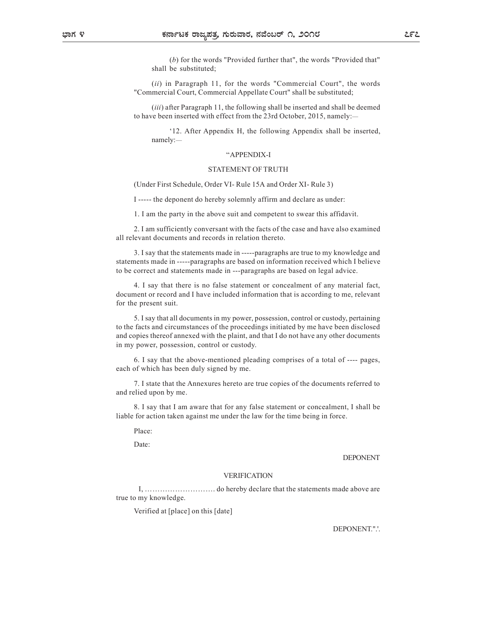(b) for the words "Provided further that", the words "Provided that" shall be substituted;

 $(ii)$  in Paragraph 11, for the words "Commercial Court", the words "Commercial Court, Commercial Appellate Court" shall be substituted;

(*iii*) after Paragraph 11, the following shall be inserted and shall be deemed to have been inserted with effect from the 23rd October, 2015, namely:—

'12. After Appendix H, the following Appendix shall be inserted, namely:—

### ''APPENDIX-I

### STATEMENT OF TRUTH

(Under First Schedule, Order VI- Rule 15A and Order XI- Rule 3)

I ----- the deponent do hereby solemnly affirm and declare as under:

1. I am the party in the above suit and competent to swear this affidavit.

2. I am sufficiently conversant with the facts of the case and have also examined all relevant documents and records in relation thereto.

3. I say that the statements made in -----paragraphs are true to my knowledge and statements made in -----paragraphs are based on information received which I believe to be correct and statements made in ---paragraphs are based on legal advice.

4. I say that there is no false statement or concealment of any material fact, document or record and I have included information that is according to me, relevant for the present suit.

5. I say that all documents in my power, possession, control or custody, pertaining to the facts and circumstances of the proceedings initiated by me have been disclosed and copies thereof annexed with the plaint, and that I do not have any other documents in my power, possession, control or custody.

6. I say that the above-mentioned pleading comprises of a total of ---- pages, each of which has been duly signed by me.

7. I state that the Annexures hereto are true copies of the documents referred to and relied upon by me.

8. I say that I am aware that for any false statement or concealment, I shall be liable for action taken against me under the law for the time being in force.

Place:

Date:

DEPONENT

### VERIFICATION

 I, ………………………. do hereby declare that the statements made above are true to my knowledge.

Verified at [place] on this [date]

DEPONENT.".'.